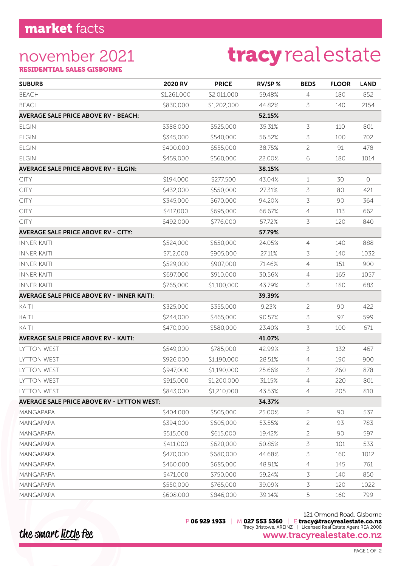### november 2021

# tracyrealestate

RESIDENTIAL SALES GISBORNE

| <b>SUBURB</b>                                     | 2020 RV     | <b>PRICE</b> | RV/SP% | <b>BEDS</b>    | <b>FLOOR</b> | <b>LAND</b> |
|---------------------------------------------------|-------------|--------------|--------|----------------|--------------|-------------|
| <b>BEACH</b>                                      | \$1,261,000 | \$2,011,000  | 59.48% | 4              | 180          | 852         |
| <b>BEACH</b>                                      | \$830,000   | \$1,202,000  | 44.82% | 3              | 140          | 2154        |
| <b>AVERAGE SALE PRICE ABOVE RV - BEACH:</b>       |             |              | 52.15% |                |              |             |
| <b>ELGIN</b>                                      | \$388,000   | \$525,000    | 35.31% | 3              | 110          | 801         |
| <b>ELGIN</b>                                      | \$345,000   | \$540,000    | 56.52% | 3              | 100          | 702         |
| <b>ELGIN</b>                                      | \$400,000   | \$555,000    | 38.75% | 2              | 91           | 478         |
| <b>ELGIN</b>                                      | \$459,000   | \$560,000    | 22.00% | 6              | 180          | 1014        |
| <b>AVERAGE SALE PRICE ABOVE RV - ELGIN:</b>       |             |              | 38.15% |                |              |             |
| <b>CITY</b>                                       | \$194,000   | \$277,500    | 43.04% | $\mathbf 1$    | 30           | 0           |
| CITY                                              | \$432,000   | \$550,000    | 27.31% | 3              | 80           | 421         |
| <b>CITY</b>                                       | \$345,000   | \$670,000    | 94.20% | 3              | 90           | 364         |
| <b>CITY</b>                                       | \$417,000   | \$695,000    | 66.67% | $\overline{4}$ | 113          | 662         |
| <b>CITY</b>                                       | \$492,000   | \$776,000    | 57.72% | 3              | 120          | 840         |
| <b>AVERAGE SALE PRICE ABOVE RV - CITY:</b>        |             |              | 57.79% |                |              |             |
| <b>INNER KAITI</b>                                | \$524,000   | \$650,000    | 24.05% | $\overline{4}$ | 140          | 888         |
| <b>INNER KAITI</b>                                | \$712,000   | \$905,000    | 27.11% | 3              | 140          | 1032        |
| <b>INNER KAITI</b>                                | \$529,000   | \$907,000    | 71.46% | 4              | 151          | 900         |
| <b>INNER KAITI</b>                                | \$697,000   | \$910,000    | 30.56% | 4              | 165          | 1057        |
| <b>INNER KAITI</b>                                | \$765,000   | \$1,100,000  | 43.79% | 3              | 180          | 683         |
| <b>AVERAGE SALE PRICE ABOVE RV - INNER KAITI:</b> |             |              | 39.39% |                |              |             |
| KAITI                                             | \$325,000   | \$355,000    | 9.23%  | $\overline{c}$ | 90           | 422         |
| KAITI                                             | \$244,000   | \$465,000    | 90.57% | 3              | 97           | 599         |
| KAITI                                             | \$470,000   | \$580,000    | 23.40% | 3              | 100          | 671         |
| <b>AVERAGE SALE PRICE ABOVE RV - KAITI:</b>       |             |              | 41.07% |                |              |             |
| LYTTON WEST                                       | \$549,000   | \$785,000    | 42.99% | 3              | 132          | 467         |
| LYTTON WEST                                       | \$926,000   | \$1,190,000  | 28.51% | 4              | 190          | 900         |
| <b>LYTTON WEST</b>                                | \$947,000   | \$1,190,000  | 25.66% | 3              | 260          | 878         |
| <b>LYTTON WEST</b>                                | \$915,000   | \$1,200,000  | 31.15% | 4              | 220          | 801         |
| LYTTON WEST                                       | \$843,000   | \$1,210,000  | 43.53% | $\overline{4}$ | 205          | 810         |
| <b>AVERAGE SALE PRICE ABOVE RV - LYTTON WEST:</b> |             |              | 34.37% |                |              |             |
| <b>MANGAPAPA</b>                                  | \$404,000   | \$505,000    | 25.00% | $\overline{c}$ | 90           | 537         |
| <b>MANGAPAPA</b>                                  | \$394,000   | \$605,000    | 53.55% | 2              | 93           | 783         |
| <b>MANGAPAPA</b>                                  | \$515,000   | \$615,000    | 19.42% | $\overline{c}$ | 90           | 597         |
| <b>MANGAPAPA</b>                                  | \$411,000   | \$620,000    | 50.85% | 3              | 101          | 533         |
| <b>MANGAPAPA</b>                                  | \$470,000   | \$680,000    | 44.68% | 3              | 160          | 1012        |
| <b>MANGAPAPA</b>                                  | \$460,000   | \$685,000    | 48.91% | 4              | 145          | 761         |
| <b>MANGAPAPA</b>                                  | \$471,000   | \$750,000    | 59.24% | 3              | 140          | 850         |
| MANGAPAPA                                         | \$550,000   | \$765,000    | 39.09% | 3              | 120          | 1022        |
| <b>MANGAPAPA</b>                                  | \$608,000   | \$846,000    | 39.14% | 5              | 160          | 799         |

121 Ormond Road, Gisborne P 06 929 1933 | M 027 553 5360 | E tracy@tracyrealestate.co.nz Tracy Bristowe, AREINZ | Licensed Real Estate Agent REA 2008 www.tracyrealestate.co.nz

the smart little fee